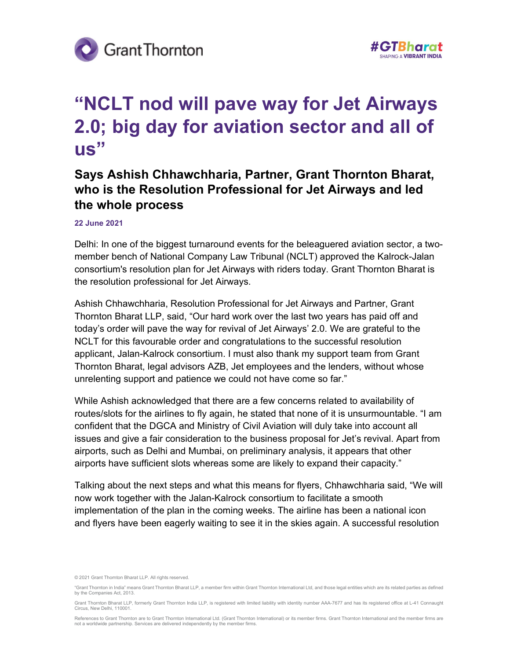



## "NCLT nod will pave way for Jet Airways 2.0; big day for aviation sector and all of us"

## Says Ashish Chhawchharia, Partner, Grant Thornton Bharat, who is the Resolution Professional for Jet Airways and led the whole process

## 22 June 2021

Delhi: In one of the biggest turnaround events for the beleaguered aviation sector, a twomember bench of National Company Law Tribunal (NCLT) approved the Kalrock-Jalan consortium's resolution plan for Jet Airways with riders today. Grant Thornton Bharat is the resolution professional for Jet Airways.

Ashish Chhawchharia, Resolution Professional for Jet Airways and Partner, Grant Thornton Bharat LLP, said, "Our hard work over the last two years has paid off and today's order will pave the way for revival of Jet Airways' 2.0. We are grateful to the NCLT for this favourable order and congratulations to the successful resolution applicant, Jalan-Kalrock consortium. I must also thank my support team from Grant Thornton Bharat, legal advisors AZB, Jet employees and the lenders, without whose unrelenting support and patience we could not have come so far."

While Ashish acknowledged that there are a few concerns related to availability of routes/slots for the airlines to fly again, he stated that none of it is unsurmountable. "I am confident that the DGCA and Ministry of Civil Aviation will duly take into account all issues and give a fair consideration to the business proposal for Jet's revival. Apart from airports, such as Delhi and Mumbai, on preliminary analysis, it appears that other airports have sufficient slots whereas some are likely to expand their capacity."

Talking about the next steps and what this means for flyers, Chhawchharia said, "We will now work together with the Jalan-Kalrock consortium to facilitate a smooth implementation of the plan in the coming weeks. The airline has been a national icon and flyers have been eagerly waiting to see it in the skies again. A successful resolution

<sup>© 2021</sup> Grant Thornton Bharat LLP. All rights reserved.

<sup>&</sup>quot;Grant Thornton in India" means Grant Thornton Bharat LLP, a member firm within Grant Thornton International Ltd, and those legal entities which are its related parties as defined by the Companies Act, 2013.

Grant Thornton Bharat LLP, formerly Grant Thornton India LLP, is registered with limited liability with identity number AAA-7677 and has its registered office at L-41 Connaught Circus, New Delhi, 110001.

References to Grant Thornton are to Grant Thornton International Ltd. (Grant Thornton International) or its member firms. Grant Thornton International and the member firms are not a worldwide partnership. Services are delivered independently by the member firms.